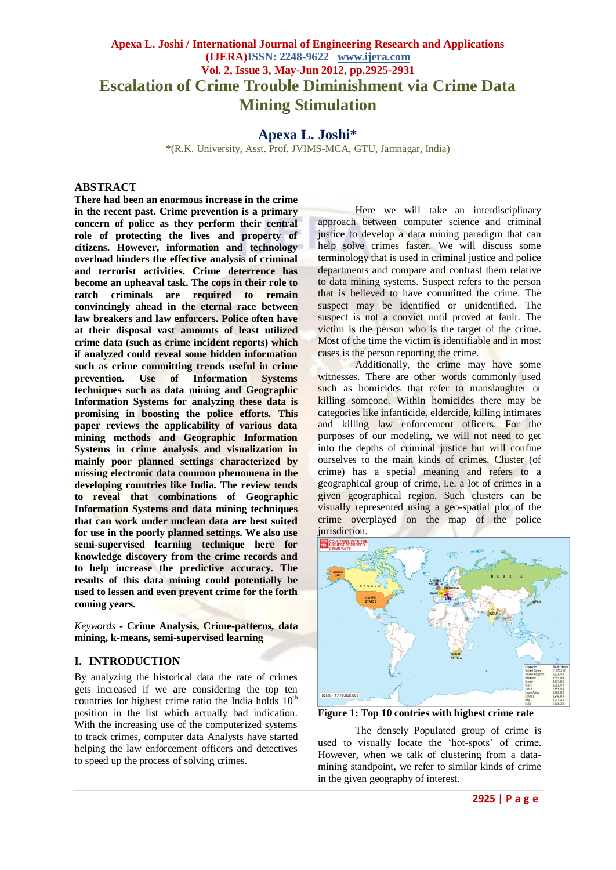# **Apexa L. Joshi / International Journal of Engineering Research and Applications (IJERA)ISSN: 2248-9622 www.ijera.com Vol. 2, Issue 3, May-Jun 2012, pp.2925-2931 Escalation of Crime Trouble Diminishment via Crime Data Mining Stimulation**

## **Apexa L. Joshi\***

\*(R.K. University, Asst. Prof. JVIMS-MCA, GTU, Jamnagar, India)

#### **ABSTRACT**

**There had been an enormous increase in the crime in the recent past. Crime prevention is a primary concern of police as they perform their central role of protecting the lives and property of citizens. However, information and technology overload hinders the effective analysis of criminal and terrorist activities. Crime deterrence has become an upheaval task. The cops in their role to catch criminals are required to remain convincingly ahead in the eternal race between law breakers and law enforcers. Police often have at their disposal vast amounts of least utilized crime data (such as crime incident reports) which if analyzed could reveal some hidden information such as crime committing trends useful in crime probably of Information Systems techniques such as data mining and Geographic Information Systems for analyzing these data is promising in boosting the police efforts. This paper reviews the applicability of various data mining methods and Geographic Information Systems in crime analysis and visualization in mainly poor planned settings characterized by missing electronic data common phenomena in the developing countries like India. The review tends to reveal that combinations of Geographic Information Systems and data mining techniques that can work under unclean data are best suited for use in the poorly planned settings. We also use semi-supervised learning technique here for knowledge discovery from the crime records and to help increase the predictive accuracy. The results of this data mining could potentially be used to lessen and even prevent crime for the forth coming years.**

*Keywords* **- Crime Analysis, Crime-patterns***,* **data mining, k-means, semi-supervised learning**

#### **I. INTRODUCTION**

By analyzing the historical data the rate of crimes gets increased if we are considering the top ten countries for highest crime ratio the India holds  $10^{th}$ position in the list which actually bad indication. With the increasing use of the computerized systems to track crimes, computer data Analysts have started helping the law enforcement officers and detectives to speed up the process of solving crimes.

Here we will take an interdisciplinary approach between computer science and criminal justice to develop a data mining paradigm that can help solve crimes faster. We will discuss some terminology that is used in criminal justice and police departments and compare and contrast them relative to data mining systems. Suspect refers to the person that is believed to have committed the crime. The suspect may be identified or unidentified. The suspect is not a convict until proved at fault. The victim is the person who is the target of the crime. Most of the time the victim is identifiable and in most cases is the person reporting the crime.

Additionally, the crime may have some witnesses. There are other words commonly used such as homicides that refer to manslaughter or killing someone. Within homicides there may be categories like infanticide, eldercide, killing intimates and killing law enforcement officers. For the purposes of our modeling, we will not need to get into the depths of criminal justice but will confine ourselves to the main kinds of crimes. Cluster (of crime) has a special meaning and refers to a geographical group of crime, i.e. a lot of crimes in a given geographical region. Such clusters can be visually represented using a geo-spatial plot of the crime overplayed on the map of the police jurisdiction.



**Figure 1: Top 10 contries with highest crime rate**

The densely Populated group of crime is used to visually locate the 'hot-spots' of crime. However, when we talk of clustering from a datamining standpoint, we refer to similar kinds of crime in the given geography of interest.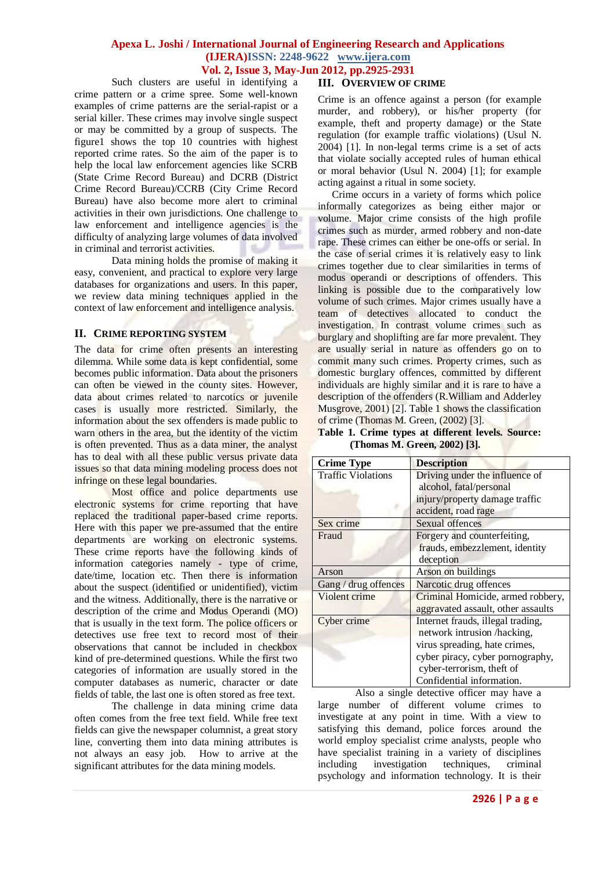Such clusters are useful in identifying a crime pattern or a crime spree. Some well-known examples of crime patterns are the serial-rapist or a serial killer. These crimes may involve single suspect or may be committed by a group of suspects. The figure1 shows the top 10 countries with highest reported crime rates. So the aim of the paper is to help the local law enforcement agencies like SCRB (State Crime Record Bureau) and DCRB (District Crime Record Bureau)/CCRB (City Crime Record Bureau) have also become more alert to criminal activities in their own jurisdictions. One challenge to law enforcement and intelligence agencies is the difficulty of analyzing large volumes of data involved in criminal and terrorist activities.

Data mining holds the promise of making it easy, convenient, and practical to explore very large databases for organizations and users. In this paper, we review data mining techniques applied in the context of law enforcement and intelligence analysis.

#### **II. CRIME REPORTING SYSTEM**

The data for crime often presents an interesting dilemma. While some data is kept confidential, some becomes public information. Data about the prisoners can often be viewed in the county sites. However, data about crimes related to narcotics or juvenile cases is usually more restricted. Similarly, the information about the sex offenders is made public to warn others in the area, but the identity of the victim is often prevented. Thus as a data miner, the analyst has to deal with all these public versus private data issues so that data mining modeling process does not infringe on these legal boundaries.

Most office and police departments use electronic systems for crime reporting that have replaced the traditional paper-based crime reports. Here with this paper we pre-assumed that the entire departments are working on electronic systems. These crime reports have the following kinds of information categories namely - type of crime, date/time, location etc. Then there is information about the suspect (identified or unidentified), victim and the witness. Additionally, there is the narrative or description of the crime and Modus Operandi (MO) that is usually in the text form. The police officers or detectives use free text to record most of their observations that cannot be included in checkbox kind of pre-determined questions. While the first two categories of information are usually stored in the computer databases as numeric, character or date fields of table, the last one is often stored as free text.

The challenge in data mining crime data often comes from the free text field. While free text fields can give the newspaper columnist, a great story line, converting them into data mining attributes is not always an easy job. How to arrive at the significant attributes for the data mining models.

## **III. OVERVIEW OF CRIME**

Crime is an offence against a person (for example murder, and robbery), or his/her property (for example, theft and property damage) or the State regulation (for example traffic violations) (Usul N. 2004) [1]. In non-legal terms crime is a set of acts that violate socially accepted rules of human ethical or moral behavior (Usul N. 2004) [1]; for example acting against a ritual in some society.

Crime occurs in a variety of forms which police informally categorizes as being either major or volume. Major crime consists of the high profile crimes such as murder, armed robbery and non-date rape. These crimes can either be one-offs or serial. In the case of serial crimes it is relatively easy to link crimes together due to clear similarities in terms of modus operandi or descriptions of offenders. This linking is possible due to the comparatively low volume of such crimes. Major crimes usually have a team of detectives allocated to conduct the investigation. In contrast volume crimes such as burglary and shoplifting are far more prevalent. They are usually serial in nature as offenders go on to commit many such crimes. Property crimes, such as domestic burglary offences, committed by different individuals are highly similar and it is rare to have a description of the offenders (R.William and Adderley Musgrove, 2001) [2]. Table 1 shows the classification of crime (Thomas M. Green, (2002) [3].

**Table 1. Crime types at different levels. Source: (Thomas M. Green, 2002) [3].**

| <b>Crime Type</b>         | <b>Description</b>                 |  |
|---------------------------|------------------------------------|--|
| <b>Traffic Violations</b> | Driving under the influence of     |  |
|                           | alcohol, fatal/personal            |  |
|                           | injury/property damage traffic     |  |
|                           | accident, road rage                |  |
| Sex crime                 | <b>Sexual offences</b>             |  |
| Fraud                     | Forgery and counterfeiting,        |  |
|                           | frauds, embezzlement, identity     |  |
|                           | deception                          |  |
| Arson                     | Arson on buildings                 |  |
| Gang / drug offences      | Narcotic drug offences             |  |
| Violent crime             | Criminal Homicide, armed robbery,  |  |
|                           | aggravated assault, other assaults |  |
| Cyber crime               | Internet frauds, illegal trading,  |  |
|                           | network intrusion /hacking,        |  |
|                           | virus spreading, hate crimes,      |  |
|                           | cyber piracy, cyber pornography,   |  |
|                           | cyber-terrorism, theft of          |  |
|                           | Confidential information.          |  |

Also a single detective officer may have a large number of different volume crimes to investigate at any point in time. With a view to satisfying this demand, police forces around the world employ specialist crime analysts, people who have specialist training in a variety of disciplines including investigation techniques, criminal psychology and information technology. It is their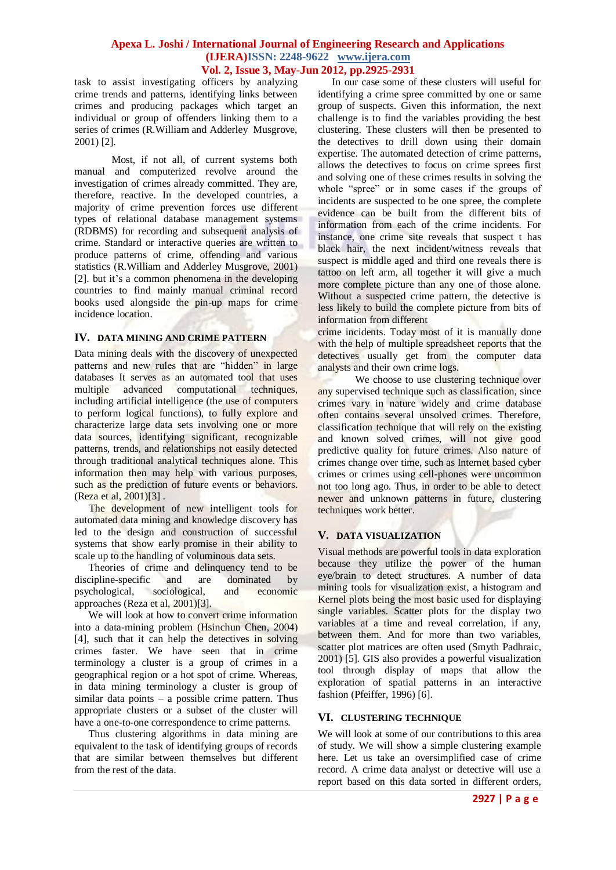task to assist investigating officers by analyzing crime trends and patterns, identifying links between crimes and producing packages which target an individual or group of offenders linking them to a series of crimes (R.William and Adderley Musgrove, 2001) [2].

Most, if not all, of current systems both manual and computerized revolve around the investigation of crimes already committed. They are, therefore, reactive. In the developed countries, a majority of crime prevention forces use different types of relational database management systems (RDBMS) for recording and subsequent analysis of crime. Standard or interactive queries are written to produce patterns of crime, offending and various statistics (R.William and Adderley Musgrove, 2001) [2]. but it's a common phenomena in the developing countries to find mainly manual criminal record books used alongside the pin-up maps for crime incidence location.

### **IV. DATA MINING AND CRIME PATTERN**

Data mining deals with the discovery of unexpected patterns and new rules that are "hidden" in large databases It serves as an automated tool that uses multiple advanced computational techniques, including artificial intelligence (the use of computers to perform logical functions), to fully explore and characterize large data sets involving one or more data sources, identifying significant, recognizable patterns, trends, and relationships not easily detected through traditional analytical techniques alone. This information then may help with various purposes, such as the prediction of future events or behaviors. (Reza et al, 2001)[3] .

The development of new intelligent tools for automated data mining and knowledge discovery has led to the design and construction of successful systems that show early promise in their ability to scale up to the handling of voluminous data sets.

Theories of crime and delinquency tend to be discipline-specific and are dominated by psychological, sociological, and economic approaches (Reza et al, 2001)[3].

We will look at how to convert crime information into a data-mining problem (Hsinchun Chen, 2004) [4], such that it can help the detectives in solving crimes faster. We have seen that in crime terminology a cluster is a group of crimes in a geographical region or a hot spot of crime. Whereas, in data mining terminology a cluster is group of similar data points  $-$  a possible crime pattern. Thus appropriate clusters or a subset of the cluster will have a one-to-one correspondence to crime patterns.

Thus clustering algorithms in data mining are equivalent to the task of identifying groups of records that are similar between themselves but different from the rest of the data.

In our case some of these clusters will useful for identifying a crime spree committed by one or same group of suspects. Given this information, the next challenge is to find the variables providing the best clustering. These clusters will then be presented to the detectives to drill down using their domain expertise. The automated detection of crime patterns, allows the detectives to focus on crime sprees first and solving one of these crimes results in solving the whole "spree" or in some cases if the groups of incidents are suspected to be one spree, the complete evidence can be built from the different bits of information from each of the crime incidents. For instance, one crime site reveals that suspect t has black hair, the next incident/witness reveals that suspect is middle aged and third one reveals there is tattoo on left arm, all together it will give a much more complete picture than any one of those alone. Without a suspected crime pattern, the detective is less likely to build the complete picture from bits of information from different

crime incidents. Today most of it is manually done with the help of multiple spreadsheet reports that the detectives usually get from the computer data analysts and their own crime logs.

We choose to use clustering technique over any supervised technique such as classification, since crimes vary in nature widely and crime database often contains several unsolved crimes. Therefore, classification technique that will rely on the existing and known solved crimes, will not give good predictive quality for future crimes. Also nature of crimes change over time, such as Internet based cyber crimes or crimes using cell-phones were uncommon not too long ago. Thus, in order to be able to detect newer and unknown patterns in future, clustering techniques work better.

## **V. DATA VISUALIZATION**

Visual methods are powerful tools in data exploration because they utilize the power of the human eye/brain to detect structures. A number of data mining tools for visualization exist, a histogram and Kernel plots being the most basic used for displaying single variables. Scatter plots for the display two variables at a time and reveal correlation, if any, between them. And for more than two variables, scatter plot matrices are often used (Smyth Padhraic, 2001) [5]. GIS also provides a powerful visualization tool through display of maps that allow the exploration of spatial patterns in an interactive fashion (Pfeiffer, 1996) [6].

## **VI. CLUSTERING TECHNIQUE**

We will look at some of our contributions to this area of study. We will show a simple clustering example here. Let us take an oversimplified case of crime record. A crime data analyst or detective will use a report based on this data sorted in different orders,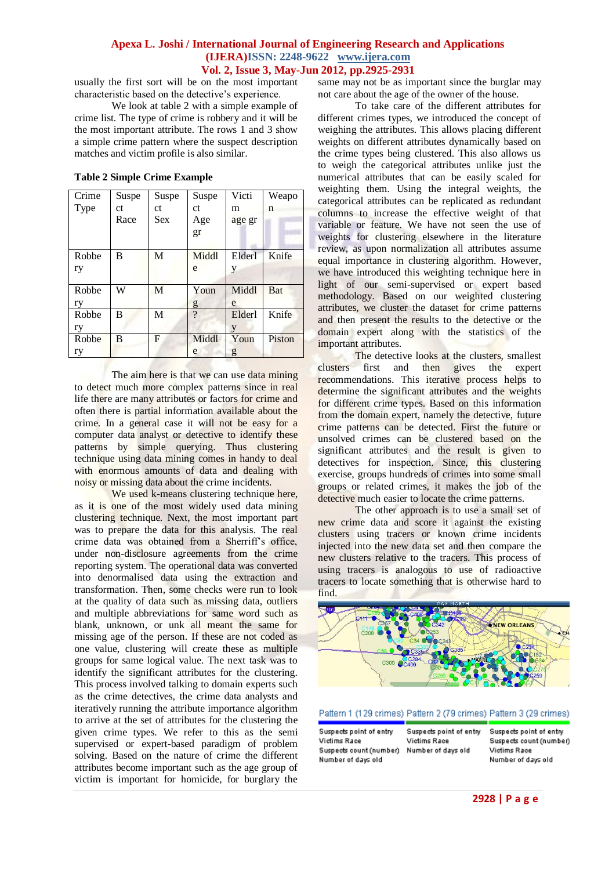usually the first sort will be on the most important characteristic based on the detective"s experience.

We look at table 2 with a simple example of crime list. The type of crime is robbery and it will be the most important attribute. The rows 1 and 3 show a simple crime pattern where the suspect description matches and victim profile is also similar.

|  |  |  |  | <b>Table 2 Simple Crime Example</b> |
|--|--|--|--|-------------------------------------|
|--|--|--|--|-------------------------------------|

| Crime | Suspe | Suspe      | Suspe    | Victi  | Weapo  |
|-------|-------|------------|----------|--------|--------|
| Type  | ct    | ct         | ct       | m      | n      |
|       | Race  | <b>Sex</b> | Age      | age gr |        |
|       |       |            | gr       |        |        |
|       |       |            |          |        |        |
| Robbe | B     | M          | Middl    | Elderl | Knife  |
| ry    |       |            | e        | y      |        |
|       |       |            |          |        |        |
| Robbe | W     | M          | Youn     | Middl  | Bat    |
| ry    |       |            | g        | e      |        |
| Robbe | B     | M          | $\gamma$ | Elderl | Knife  |
| ry    |       |            |          | y      |        |
| Robbe | в     | F          | Middl    | Youn   | Piston |
| ry    |       |            | e        | g      |        |

The aim here is that we can use data mining to detect much more complex patterns since in real life there are many attributes or factors for crime and often there is partial information available about the crime. In a general case it will not be easy for a computer data analyst or detective to identify these patterns by simple querying. Thus clustering technique using data mining comes in handy to deal with enormous amounts of data and dealing with noisy or missing data about the crime incidents.

We used k-means clustering technique here, as it is one of the most widely used data mining clustering technique. Next, the most important part was to prepare the data for this analysis. The real crime data was obtained from a Sherriff"s office, under non-disclosure agreements from the crime reporting system. The operational data was converted into denormalised data using the extraction and transformation. Then, some checks were run to look at the quality of data such as missing data, outliers and multiple abbreviations for same word such as blank, unknown, or unk all meant the same for missing age of the person. If these are not coded as one value, clustering will create these as multiple groups for same logical value. The next task was to identify the significant attributes for the clustering. This process involved talking to domain experts such as the crime detectives, the crime data analysts and iteratively running the attribute importance algorithm to arrive at the set of attributes for the clustering the given crime types. We refer to this as the semi supervised or expert-based paradigm of problem solving. Based on the nature of crime the different attributes become important such as the age group of victim is important for homicide, for burglary the

same may not be as important since the burglar may not care about the age of the owner of the house.

To take care of the different attributes for different crimes types, we introduced the concept of weighing the attributes. This allows placing different weights on different attributes dynamically based on the crime types being clustered. This also allows us to weigh the categorical attributes unlike just the numerical attributes that can be easily scaled for weighting them. Using the integral weights, the categorical attributes can be replicated as redundant columns to increase the effective weight of that variable or feature. We have not seen the use of weights for clustering elsewhere in the literature review, as upon normalization all attributes assume equal importance in clustering algorithm. However, we have introduced this weighting technique here in light of our semi-supervised or expert based methodology. Based on our weighted clustering attributes, we cluster the dataset for crime patterns and then present the results to the detective or the domain expert along with the statistics of the important attributes.

The detective looks at the clusters, smallest clusters first and then gives the expert recommendations. This iterative process helps to determine the significant attributes and the weights for different crime types. Based on this information from the domain expert, namely the detective, future crime patterns can be detected. First the future or unsolved crimes can be clustered based on the significant attributes and the result is given to detectives for inspection. Since, this clustering exercise, groups hundreds of crimes into some small groups or related crimes, it makes the job of the detective much easier to locate the crime patterns.

The other approach is to use a small set of new crime data and score it against the existing clusters using tracers or known crime incidents injected into the new data set and then compare the new clusters relative to the tracers. This process of using tracers is analogous to use of radioactive tracers to locate something that is otherwise hard to find.



Pattern 1 (129 crimes) Pattern 2 (79 crimes) Pattern 3 (29 crimes)

Suspects point of entry **Victims Race** Suspects count (number) Number of days old

Suspects point of entry **Victims Race** Number of days old

Suspects point of entry Suspects count (number) Victims Race Number of days old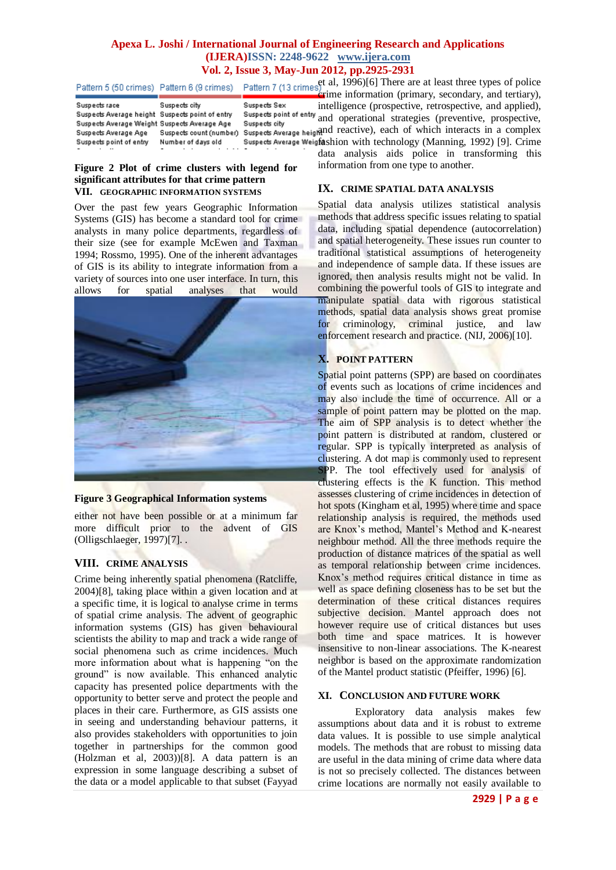Pattern 7 (13 crimes) et al, 1996)[6] There are at least three types of police Pattern 5 (50 crimes) Pattern 6 (9 crimes)

Suspects race Suspects city Suspects Average height Suspects point of entry Suspects Average Weight Suspects Average Age Suspects Average Age Suspects point of entry Number of days old

crime information (primary, secondary, and tertiary), Suspects Sex intelligence (prospective, retrospective, and applied), Suspects point of entry and operational strategies (preventive, prospective, Suspects city Suspects count (number) Suspects Average height of reactive), each of which interacts in a complex Suspects Average Weigfashion with technology (Manning, 1992) [9]. Crime

#### **Figure 2 Plot of crime clusters with legend for significant attributes for that crime pattern VII. GEOGRAPHIC INFORMATION SYSTEMS**

Over the past few years Geographic Information Systems (GIS) has become a standard tool for crime analysts in many police departments, regardless of their size (see for example McEwen and Taxman 1994; Rossmo, 1995). One of the inherent advantages of GIS is its ability to integrate information from a variety of sources into one user interface. In turn, this allows for spatial analyses that would



## **Figure 3 Geographical Information systems**

either not have been possible or at a minimum far more difficult prior to the advent of GIS (Olligschlaeger, 1997)[7]. .

## **VIII. CRIME ANALYSIS**

Crime being inherently spatial phenomena (Ratcliffe, 2004)[8], taking place within a given location and at a specific time, it is logical to analyse crime in terms of spatial crime analysis. The advent of geographic information systems (GIS) has given behavioural scientists the ability to map and track a wide range of social phenomena such as crime incidences. Much more information about what is happening "on the ground" is now available. This enhanced analytic capacity has presented police departments with the opportunity to better serve and protect the people and places in their care. Furthermore, as GIS assists one in seeing and understanding behaviour patterns, it also provides stakeholders with opportunities to join together in partnerships for the common good (Holzman et al, 2003))[8]. A data pattern is an expression in some language describing a subset of the data or a model applicable to that subset (Fayyad

data analysis aids police in transforming this information from one type to another.

## **IX. CRIME SPATIAL DATA ANALYSIS**

Spatial data analysis utilizes statistical analysis methods that address specific issues relating to spatial data, including spatial dependence (autocorrelation) and spatial heterogeneity. These issues run counter to traditional statistical assumptions of heterogeneity and independence of sample data. If these issues are ignored, then analysis results might not be valid. In combining the powerful tools of GIS to integrate and manipulate spatial data with rigorous statistical methods, spatial data analysis shows great promise for criminology, criminal justice, and law enforcement research and practice. (NIJ, 2006)[10].

## **X. POINT PATTERN**

Spatial point patterns (SPP) are based on coordinates of events such as locations of crime incidences and may also include the time of occurrence. All or a sample of point pattern may be plotted on the map. The aim of SPP analysis is to detect whether the point pattern is distributed at random, clustered or regular. SPP is typically interpreted as analysis of clustering. A dot map is commonly used to represent SPP. The tool effectively used for analysis of clustering effects is the K function. This method assesses clustering of crime incidences in detection of hot spots (Kingham et al, 1995) where time and space relationship analysis is required, the methods used are Knox"s method, Mantel"s Method and K-nearest neighbour method. All the three methods require the production of distance matrices of the spatial as well as temporal relationship between crime incidences. Knox"s method requires critical distance in time as well as space defining closeness has to be set but the determination of these critical distances requires subjective decision. Mantel approach does not however require use of critical distances but uses both time and space matrices. It is however insensitive to non-linear associations. The K-nearest neighbor is based on the approximate randomization of the Mantel product statistic (Pfeiffer, 1996) [6].

## **XI. CONCLUSION AND FUTURE WORK**

Exploratory data analysis makes few assumptions about data and it is robust to extreme data values. It is possible to use simple analytical models. The methods that are robust to missing data are useful in the data mining of crime data where data is not so precisely collected. The distances between crime locations are normally not easily available to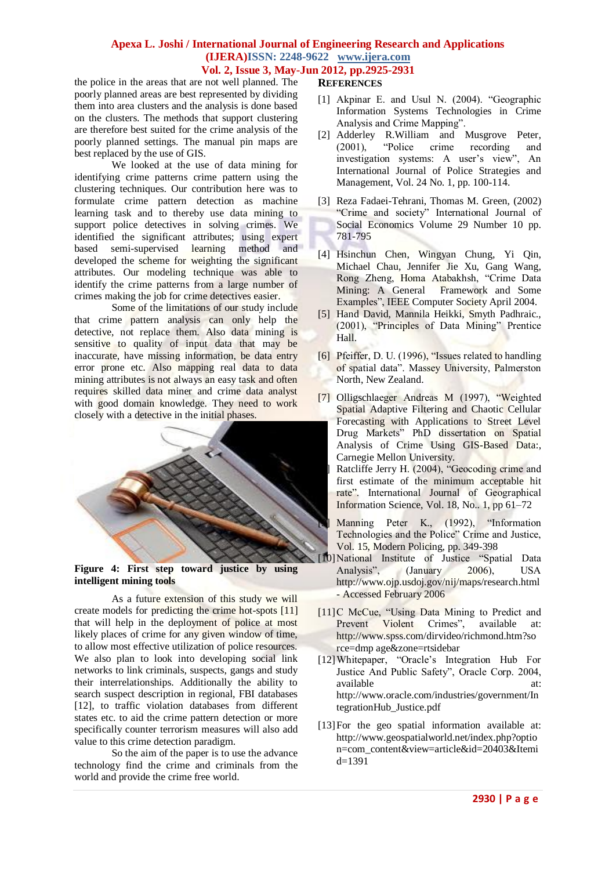#### **REFERENCES**

the police in the areas that are not well planned. The poorly planned areas are best represented by dividing them into area clusters and the analysis is done based on the clusters. The methods that support clustering are therefore best suited for the crime analysis of the poorly planned settings. The manual pin maps are best replaced by the use of GIS.

We looked at the use of data mining for identifying crime patterns crime pattern using the clustering techniques. Our contribution here was to formulate crime pattern detection as machine learning task and to thereby use data mining to support police detectives in solving crimes. We identified the significant attributes; using expert based semi-supervised learning method and developed the scheme for weighting the significant attributes. Our modeling technique was able to identify the crime patterns from a large number of crimes making the job for crime detectives easier.

Some of the limitations of our study include that crime pattern analysis can only help the detective, not replace them. Also data mining is sensitive to quality of input data that may be inaccurate, have missing information, be data entry error prone etc. Also mapping real data to data mining attributes is not always an easy task and often requires skilled data miner and crime data analyst with good domain knowledge. They need to work closely with a detective in the initial phases.



#### **Figure 4: First step toward justice by using intelligent mining tools**

As a future extension of this study we will create models for predicting the crime hot-spots [11] that will help in the deployment of police at most likely places of crime for any given window of time, to allow most effective utilization of police resources. We also plan to look into developing social link networks to link criminals, suspects, gangs and study their interrelationships. Additionally the ability to search suspect description in regional, FBI databases [12], to traffic violation databases from different states etc. to aid the crime pattern detection or more specifically counter terrorism measures will also add value to this crime detection paradigm.

So the aim of the paper is to use the advance technology find the crime and criminals from the world and provide the crime free world.

- [1] Akpinar E. and Usul N. (2004). "Geographic Information Systems Technologies in Crime Analysis and Crime Mapping".
- [2] Adderley R.William and Musgrove Peter, (2001), "Police crime recording and investigation systems: A user's view", An International Journal of Police Strategies and Management, Vol. 24 No. 1, pp. 100-114.
- [3] Reza Fadaei-Tehrani, Thomas M. Green, (2002) "Crime and society" International Journal of Social Economics Volume 29 Number 10 pp. 781-795
- [4] Hsinchun Chen, Wingyan Chung, Yi Qin, Michael Chau, Jennifer Jie Xu, Gang Wang, Rong Zheng, Homa Atabakhsh, "Crime Data Mining: A General Framework and Some Examples", IEEE Computer Society April 2004.
- [5] Hand David, Mannila Heikki, Smyth Padhraic., (2001), "Principles of Data Mining" Prentice Hall.
- [6] Pfeiffer, D. U. (1996), "Issues related to handling of spatial data". Massey University, Palmerston North, New Zealand.
- [7] Olligschlaeger Andreas M (1997), "Weighted Spatial Adaptive Filtering and Chaotic Cellular Forecasting with Applications to Street Level Drug Markets" PhD dissertation on Spatial Analysis of Crime Using GIS-Based Data:, Carnegie Mellon University.

Ratcliffe Jerry H. (2004), "Geocoding crime and first estimate of the minimum acceptable hit rate". International Journal of Geographical Information Science, Vol. 18, No.. 1, pp 61–72

Manning Peter K., (1992), "Information Technologies and the Police" Crime and Justice, Vol. 15, Modern Policing, pp. 349-398

- National Institute of Justice "Spatial Data Analysis", (January 2006), USA http://www.ojp.usdoj.gov/nij/maps/research.html - Accessed February 2006
- [11]C McCue, "Using Data Mining to Predict and Prevent Violent Crimes", available at: http://www.spss.com/dirvideo/richmond.htm?so rce=dmp age&zone=rtsidebar
- [12]Whitepaper, "Oracle"s Integration Hub For Justice And Public Safety", Oracle Corp. 2004, available at: http://www.oracle.com/industries/government/In tegrationHub\_Justice.pdf
- [13]For the geo spatial information available at: http://www.geospatialworld.net/index.php?optio n=com\_content&view=article&id=20403&Itemi d=1391